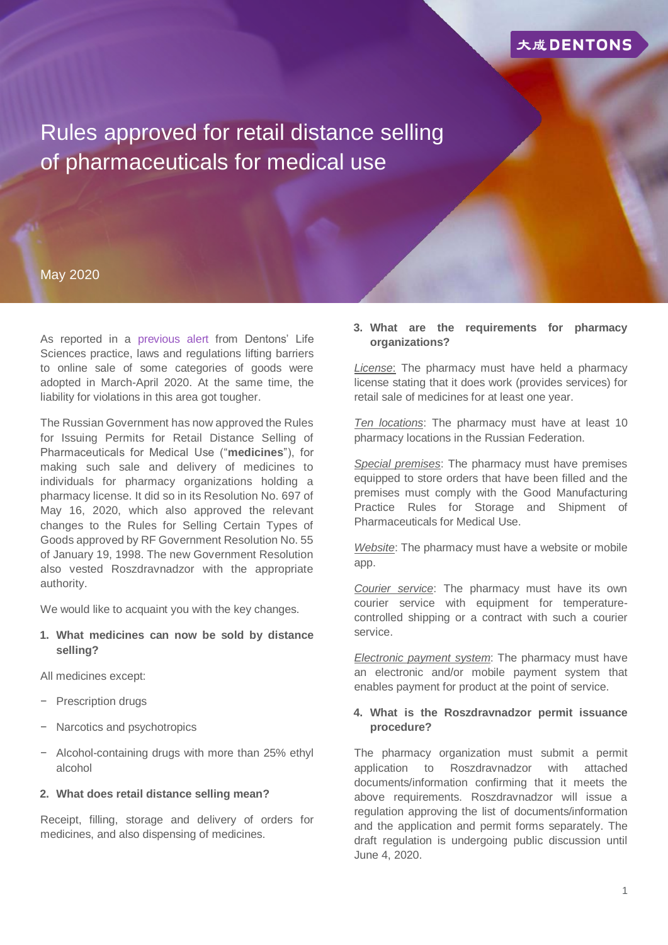

Rules approved for retail distance selling of pharmaceuticals for medical use

## May 2020

As reported in a [previous alert](https://www.dentons.com/en/insights/alerts/2020/april/6/distance-selling-of-medicines-legalized) from Dentons' Life Sciences practice, laws and regulations lifting barriers to online sale of some categories of goods were adopted in March-April 2020. At the same time, the liability for violations in this area got tougher.

The Russian Government has now approved the Rules for Issuing Permits for Retail Distance Selling of Pharmaceuticals for Medical Use ("**medicines**"), for making such sale and delivery of medicines to individuals for pharmacy organizations holding a pharmacy license. It did so in its Resolution No. 697 of May 16, 2020, which also approved the relevant changes to the Rules for Selling Certain Types of Goods approved by RF Government Resolution No. 55 of January 19, 1998. The new Government Resolution also vested Roszdravnadzor with the appropriate authority.

We would like to acquaint you with the key changes.

**1. What medicines can now be sold by distance selling?**

All medicines except:

- − Prescription drugs
- Narcotics and psychotropics
- − Alcohol-containing drugs with more than 25% ethyl alcohol

#### **2. What does retail distance selling mean?**

Receipt, filling, storage and delivery of orders for medicines, and also dispensing of medicines.

#### **3. What are the requirements for pharmacy organizations?**

*License*: The pharmacy must have held a pharmacy license stating that it does work (provides services) for retail sale of medicines for at least one year.

*Ten locations*: The pharmacy must have at least 10 pharmacy locations in the Russian Federation.

*Special premises*: The pharmacy must have premises equipped to store orders that have been filled and the premises must comply with the Good Manufacturing Practice Rules for Storage and Shipment of Pharmaceuticals for Medical Use.

*Website*: The pharmacy must have a website or mobile app.

*Courier service*: The pharmacy must have its own courier service with equipment for temperaturecontrolled shipping or a contract with such a courier service.

*Electronic payment system*: The pharmacy must have an electronic and/or mobile payment system that enables payment for product at the point of service.

### **4. What is the Roszdravnadzor permit issuance procedure?**

The pharmacy organization must submit a permit application to Roszdravnadzor with attached documents/information confirming that it meets the above requirements. Roszdravnadzor will issue a regulation approving the list of documents/information and the application and permit forms separately. The draft regulation is undergoing public discussion until June 4, 2020.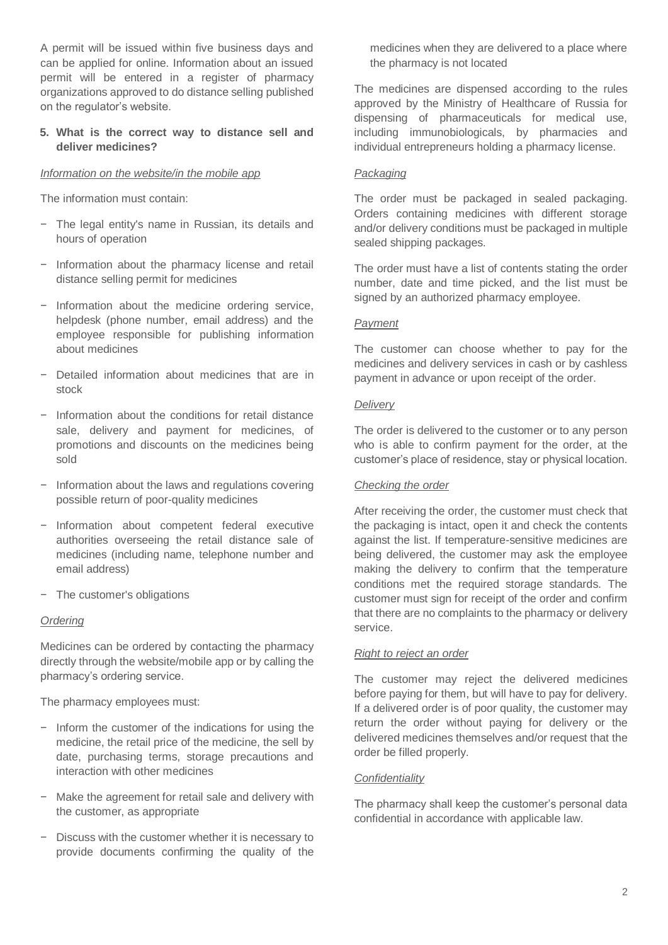A permit will be issued within five business days and can be applied for online. Information about an issued permit will be entered in a register of pharmacy organizations approved to do distance selling published on the regulator's website.

# **5. What is the correct way to distance sell and deliver medicines?**

## *Information on the website/in the mobile app*

The information must contain:

- − The legal entity's name in Russian, its details and hours of operation
- − Information about the pharmacy license and retail distance selling permit for medicines
- − Information about the medicine ordering service, helpdesk (phone number, email address) and the employee responsible for publishing information about medicines
- − Detailed information about medicines that are in stock
- − Information about the conditions for retail distance sale, delivery and payment for medicines, of promotions and discounts on the medicines being sold
- − Information about the laws and regulations covering possible return of poor-quality medicines
- − Information about competent federal executive authorities overseeing the retail distance sale of medicines (including name, telephone number and email address)
- − The customer's obligations

## *Ordering*

Medicines can be ordered by contacting the pharmacy directly through the website/mobile app or by calling the pharmacy's ordering service.

The pharmacy employees must:

- − Inform the customer of the indications for using the medicine, the retail price of the medicine, the sell by date, purchasing terms, storage precautions and interaction with other medicines
- − Make the agreement for retail sale and delivery with the customer, as appropriate
- − Discuss with the customer whether it is necessary to provide documents confirming the quality of the

medicines when they are delivered to a place where the pharmacy is not located

The medicines are dispensed according to the rules approved by the Ministry of Healthcare of Russia for dispensing of pharmaceuticals for medical use, including immunobiologicals, by pharmacies and individual entrepreneurs holding a pharmacy license.

## *Packaging*

The order must be packaged in sealed packaging. Orders containing medicines with different storage and/or delivery conditions must be packaged in multiple sealed shipping packages.

The order must have a list of contents stating the order number, date and time picked, and the list must be signed by an authorized pharmacy employee.

### *Payment*

The customer can choose whether to pay for the medicines and delivery services in cash or by cashless payment in advance or upon receipt of the order.

### *Delivery*

The order is delivered to the customer or to any person who is able to confirm payment for the order, at the customer's place of residence, stay or physical location.

# *Checking the order*

After receiving the order, the customer must check that the packaging is intact, open it and check the contents against the list. If temperature-sensitive medicines are being delivered, the customer may ask the employee making the delivery to confirm that the temperature conditions met the required storage standards. The customer must sign for receipt of the order and confirm that there are no complaints to the pharmacy or delivery service.

## *Right to reject an order*

The customer may reject the delivered medicines before paying for them, but will have to pay for delivery. If a delivered order is of poor quality, the customer may return the order without paying for delivery or the delivered medicines themselves and/or request that the order be filled properly.

#### *Confidentiality*

The pharmacy shall keep the customer's personal data confidential in accordance with applicable law.